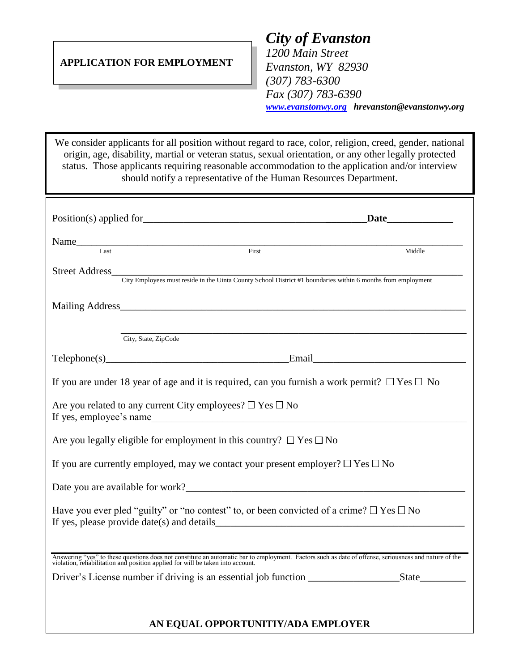## **APPLICATION FOR EMPLOYMENT**

*City of Evanston 1200 Main Street Evanston, WY 82930 (307) 783-6300 Fax (307) 783-6390 [www.evanstonwy.org](http://www.evanstonwy.org/) hrevanston@evanstonwy.org*

We consider applicants for all position without regard to race, color, religion, creed, gender, national origin, age, disability, martial or veteran status, sexual orientation, or any other legally protected status. Those applicants requiring reasonable accommodation to the application and/or interview should notify a representative of the Human Resources Department.

| Position(s) applied for                                                                                                                                                                                                        | <b>Date</b> and <b>Date</b>          |  |
|--------------------------------------------------------------------------------------------------------------------------------------------------------------------------------------------------------------------------------|--------------------------------------|--|
| Name<br>Last First First                                                                                                                                                                                                       |                                      |  |
|                                                                                                                                                                                                                                | Middle                               |  |
| Street Address<br>City Employees must reside in the Uinta County School District #1 boundaries within 6 months from employment                                                                                                 |                                      |  |
|                                                                                                                                                                                                                                |                                      |  |
| City, State, ZipCode                                                                                                                                                                                                           |                                      |  |
|                                                                                                                                                                                                                                | Telephone(s) Email Email Email Email |  |
| If you are under 18 year of age and it is required, can you furnish a work permit? $\Box$ Yes $\Box$ No                                                                                                                        |                                      |  |
| Are you related to any current City employees? $\Box$ Yes $\Box$ No                                                                                                                                                            |                                      |  |
| Are you legally eligible for employment in this country? $\Box$ Yes $\Box$ No                                                                                                                                                  |                                      |  |
| If you are currently employed, may we contact your present employer? $\Box$ Yes $\Box$ No                                                                                                                                      |                                      |  |
| Date you are available for work?                                                                                                                                                                                               |                                      |  |
| Have you ever pled "guilty" or "no contest" to, or been convicted of a crime? $\Box$ Yes $\Box$ No<br>If yes, please provide $date(s)$ and $details$                                                                           |                                      |  |
|                                                                                                                                                                                                                                |                                      |  |
| Answering "yes" to these questions does not constitute an automatic bar to employment. Factors such as date of offense, seriousness and nature of the violation, rehabilitation and position applied for will be taken into ac |                                      |  |
|                                                                                                                                                                                                                                |                                      |  |
|                                                                                                                                                                                                                                | AN EQUAL OPPORTUNITIY/ADA EMPLOYER   |  |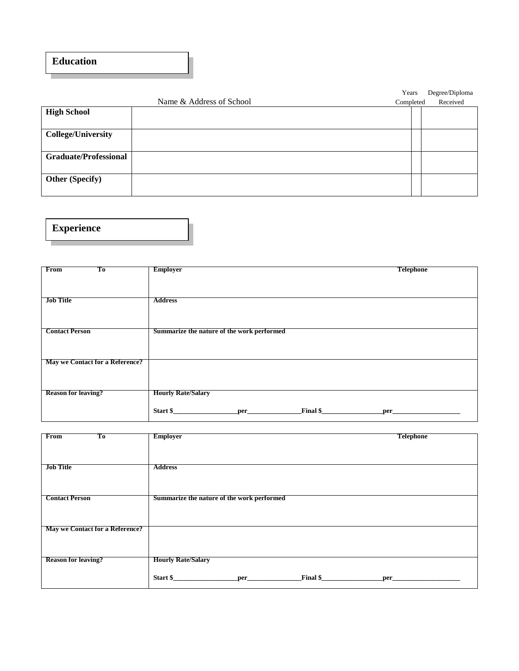## **Education**

|                              |                          | Years     | Degree/Diploma |
|------------------------------|--------------------------|-----------|----------------|
|                              | Name & Address of School | Completed | Received       |
| <b>High School</b>           |                          |           |                |
|                              |                          |           |                |
| <b>College/University</b>    |                          |           |                |
|                              |                          |           |                |
| <b>Graduate/Professional</b> |                          |           |                |
|                              |                          |           |                |
| <b>Other (Specify)</b>       |                          |           |                |
|                              |                          |           |                |

**Experience**

| <b>From</b><br>Тo               | <b>Employer</b><br><b>Telephone</b>        |  |
|---------------------------------|--------------------------------------------|--|
|                                 |                                            |  |
|                                 |                                            |  |
|                                 |                                            |  |
| <b>Job Title</b>                | <b>Address</b>                             |  |
|                                 |                                            |  |
|                                 |                                            |  |
|                                 |                                            |  |
| <b>Contact Person</b>           | Summarize the nature of the work performed |  |
|                                 |                                            |  |
|                                 |                                            |  |
| May we Contact for a Reference? |                                            |  |
|                                 |                                            |  |
|                                 |                                            |  |
|                                 |                                            |  |
| <b>Reason for leaving?</b>      | <b>Hourly Rate/Salary</b>                  |  |
|                                 |                                            |  |
|                                 | Start \$<br>Final \$<br>per_               |  |
|                                 |                                            |  |

| <b>From</b><br>Tо               | <b>Employer</b>                               | <b>Telephone</b> |
|---------------------------------|-----------------------------------------------|------------------|
|                                 |                                               |                  |
|                                 |                                               |                  |
|                                 |                                               |                  |
|                                 |                                               |                  |
| <b>Job Title</b>                | <b>Address</b>                                |                  |
|                                 |                                               |                  |
|                                 |                                               |                  |
|                                 |                                               |                  |
| <b>Contact Person</b>           | Summarize the nature of the work performed    |                  |
|                                 |                                               |                  |
|                                 |                                               |                  |
|                                 |                                               |                  |
| May we Contact for a Reference? |                                               |                  |
|                                 |                                               |                  |
|                                 |                                               |                  |
|                                 |                                               |                  |
|                                 |                                               |                  |
| <b>Reason for leaving?</b>      | <b>Hourly Rate/Salary</b>                     |                  |
|                                 |                                               |                  |
|                                 | Start \$<br>Final \$<br>$per$ $\qquad \qquad$ | per              |
|                                 |                                               |                  |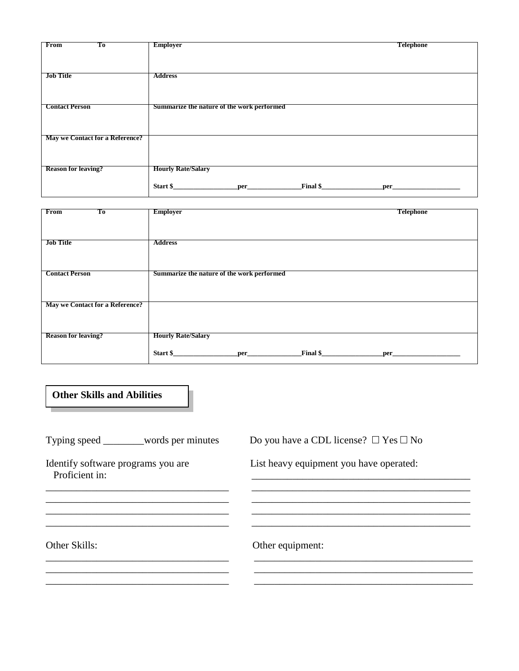| Тo<br>From                      | <b>Employer</b>                            | <b>Telephone</b> |
|---------------------------------|--------------------------------------------|------------------|
|                                 |                                            |                  |
|                                 |                                            |                  |
|                                 |                                            |                  |
|                                 |                                            |                  |
| <b>Job Title</b>                | <b>Address</b>                             |                  |
|                                 |                                            |                  |
|                                 |                                            |                  |
|                                 |                                            |                  |
|                                 |                                            |                  |
| <b>Contact Person</b>           | Summarize the nature of the work performed |                  |
|                                 |                                            |                  |
|                                 |                                            |                  |
|                                 |                                            |                  |
|                                 |                                            |                  |
|                                 |                                            |                  |
| May we Contact for a Reference? |                                            |                  |
|                                 |                                            |                  |
|                                 |                                            |                  |
|                                 |                                            |                  |
|                                 |                                            |                  |
| <b>Reason for leaving?</b>      | <b>Hourly Rate/Salary</b>                  |                  |
|                                 |                                            |                  |
|                                 |                                            |                  |
|                                 | Final \$<br>Start \$<br>per_               | per              |
|                                 |                                            |                  |

| From<br>Тo                      |                                            | <b>Telephone</b> |
|---------------------------------|--------------------------------------------|------------------|
|                                 | <b>Employer</b>                            |                  |
|                                 |                                            |                  |
|                                 |                                            |                  |
| <b>Job Title</b>                | <b>Address</b>                             |                  |
|                                 |                                            |                  |
|                                 |                                            |                  |
| <b>Contact Person</b>           | Summarize the nature of the work performed |                  |
|                                 |                                            |                  |
|                                 |                                            |                  |
|                                 |                                            |                  |
| May we Contact for a Reference? |                                            |                  |
|                                 |                                            |                  |
|                                 |                                            |                  |
| <b>Reason for leaving?</b>      | <b>Hourly Rate/Salary</b>                  |                  |
|                                 |                                            |                  |
|                                 | Final $\frac{1}{2}$<br>Start \$<br>per     | per_             |
|                                 |                                            |                  |

**Other Skills and Abilities**

Typing speed \_\_\_\_\_\_words per minutes Do you have a CDL license?  $\Box$  Yes  $\Box$  No

Proficient in:

Identify software programs you are **List heavy equipment you have operated:** 

Other Skills: Other equipment:

\_\_\_\_\_\_\_\_\_\_\_\_\_\_\_\_\_\_\_\_\_\_\_\_\_\_\_\_\_\_\_\_\_\_\_\_ \_\_\_\_\_\_\_\_\_\_\_\_\_\_\_\_\_\_\_\_\_\_\_\_\_\_\_\_\_\_\_\_\_\_\_\_\_\_\_\_\_\_\_ \_\_\_\_\_\_\_\_\_\_\_\_\_\_\_\_\_\_\_\_\_\_\_\_\_\_\_\_\_\_\_\_\_\_\_\_ \_\_\_\_\_\_\_\_\_\_\_\_\_\_\_\_\_\_\_\_\_\_\_\_\_\_\_\_\_\_\_\_\_\_\_\_\_\_\_\_\_\_\_

\_\_\_\_\_\_\_\_\_\_\_\_\_\_\_\_\_\_\_\_\_\_\_\_\_\_\_\_\_\_\_\_\_\_\_\_ \_\_\_\_\_\_\_\_\_\_\_\_\_\_\_\_\_\_\_\_\_\_\_\_\_\_\_\_\_\_\_\_\_\_\_\_\_\_\_\_\_\_\_

\_\_\_\_\_\_\_\_\_\_\_\_\_\_\_\_\_\_\_\_\_\_\_\_\_\_\_\_\_\_\_\_\_\_\_\_ \_\_\_\_\_\_\_\_\_\_\_\_\_\_\_\_\_\_\_\_\_\_\_\_\_\_\_\_\_\_\_\_\_\_\_\_\_\_\_\_\_\_\_